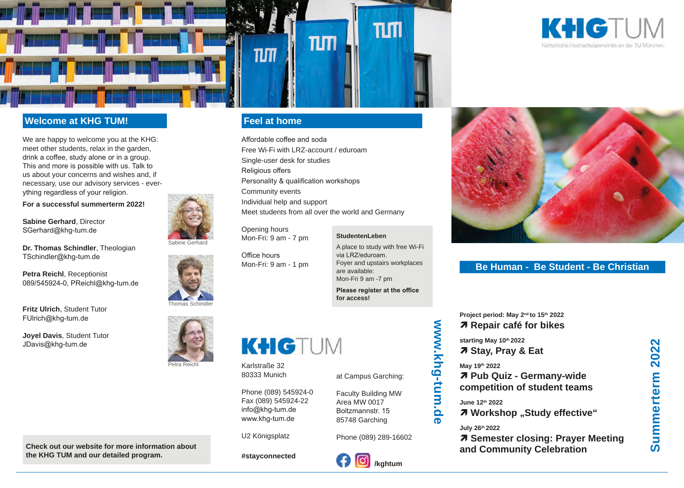



## **Welcome at KHG TUM!**

We are happy to welcome you at the KHG: meet other students, relax in the garden, drink a coffee, study alone or in a group. This and more is possible with us. Talk to us about your concerns and wishes and, if necessary, use our advisory services - everything regardless of your religion.

**For a successful summerterm 2022!**

**Sabine Gerhard**, Director SGerhard@khg-tum.de

**Dr. Thomas Schindler**, Theologian TSchindler@khg-tum.de

**Petra Reichl**, Receptionist 089/545924-0, PReichl@khg-tum.de

**Fritz Ulrich**, Student Tutor FUlrich@khg-tum.de

**Joyel Davis**, Student Tutor JDavis@khg-tum.de







Petra Reichl

**Check out our website for more information about the KHG TUM and our detailed program.**

# **Feel at home**

Affordable coffee and soda Free Wi-Fi with LRZ-account / eduroam Single-user desk for studies Religious offers Personality & qualification workshops Community events Individual help and support Meet students from all over the world and Germany

Opening hours Mon-Fri: 9 am - 7 pm

#### **StudentenLeben**

Office hours Mon-Fri: 9 am - 1 pm A place to study with free Wi-Fi via LRZ/eduroam. Foyer and upstairs workplaces are available: Mon-Fri 9 am -7 pm

**Please register at the office for access!**



Karlstraße 32 80333 Munich

Phone (089) 545924-0 Fax (089) 545924-22 info@khg-tum.de www.khg-tum.de

U2 Königsplatz

**#stayconnected**

Phone (089) 289-16602

**/kghtum**

at Campus Garching:

Faculty Building MW Area MW 0017 Boltzmannstr. 15 85748 Garching





## **Be Human - Be Student - Be Christian**

**Project period: May 2nd to 15th 2022 Repair café for bikes**

**starting May 10th 2022 Stay, Pray & Eat**

 **Pub Quiz - Germany-wide competition of student teams**

*A* Workshop "Study effective"

## **July 26th 2022**

*A* Semester closing: Prayer Meeting **and Community Celebration**

www.khg-tum.de **www.khg-tum.de**

**May 19th 2022**

**June 12th 2022**